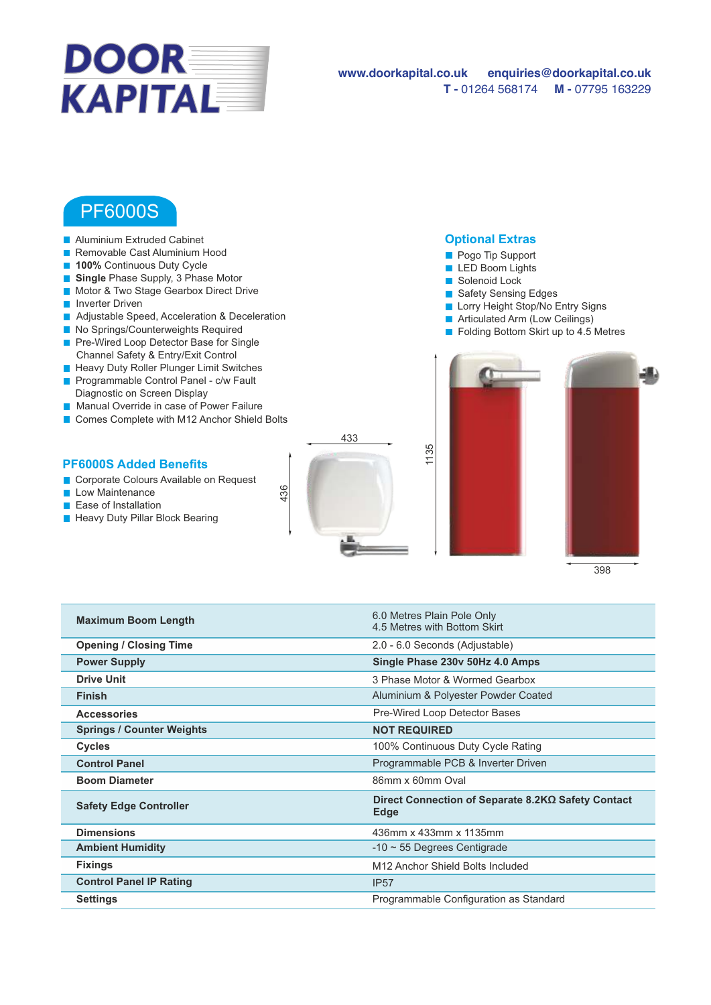

## PF6000S

- **Aluminium Extruded Cabinet**
- Removable Cast Aluminium Hood
- **100%** Continuous Duty Cycle
- **Single** Phase Supply, 3 Phase Motor
- **Motor & Two Stage Gearbox Direct Drive**
- **Inverter Driven**
- Adjustable Speed, Acceleration & Deceleration
- No Springs/Counterweights Required
- Pre-Wired Loop Detector Base for Single Channel Safety & Entry/Exit Control
- **Heavy Duty Roller Plunger Limit Switches**
- **Programmable Control Panel c/w Fault** Diagnostic on Screen Display
- **Manual Override in case of Power Failure**
- Comes Complete with M12 Anchor Shield Bolts

## **PF6000S Added Benefits**

- Corporate Colours Available on Request
- **Low Maintenance**
- **Ease of Installation**
- **Heavy Duty Pillar Block Bearing**



1135

O&M Manual Drawing Video available on website

## **Optional Extras**





398

| <b>Maximum Boom Length</b>       | 6.0 Metres Plain Pole Only<br>4.5 Metres with Bottom Skirt |
|----------------------------------|------------------------------------------------------------|
| <b>Opening / Closing Time</b>    | 2.0 - 6.0 Seconds (Adjustable)                             |
| <b>Power Supply</b>              | Single Phase 230v 50Hz 4.0 Amps                            |
| <b>Drive Unit</b>                | 3 Phase Motor & Wormed Gearbox                             |
| <b>Finish</b>                    | Aluminium & Polyester Powder Coated                        |
| <b>Accessories</b>               | Pre-Wired Loop Detector Bases                              |
| <b>Springs / Counter Weights</b> | <b>NOT REQUIRED</b>                                        |
| <b>Cycles</b>                    | 100% Continuous Duty Cycle Rating                          |
| <b>Control Panel</b>             | Programmable PCB & Inverter Driven                         |
| <b>Boom Diameter</b>             | 86mm x 60mm Oval                                           |
| <b>Safety Edge Controller</b>    | Direct Connection of Separate 8.2KΩ Safety Contact<br>Edge |
| <b>Dimensions</b>                | 436mm x 433mm x 1135mm                                     |
| <b>Ambient Humidity</b>          | $-10 \sim 55$ Degrees Centigrade                           |
| <b>Fixings</b>                   | M12 Anchor Shield Bolts Included                           |
| <b>Control Panel IP Rating</b>   | IP57                                                       |
| Settings                         | Programmable Configuration as Standard                     |